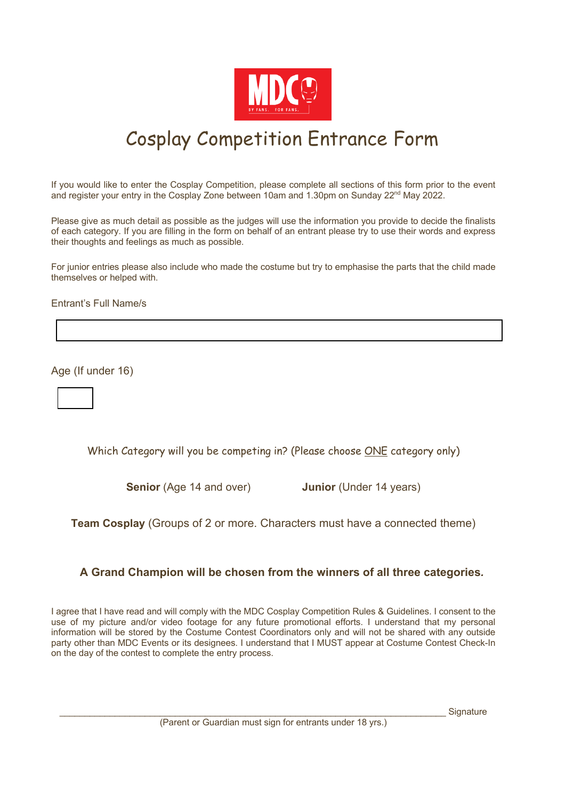

# Cosplay Competition Entrance Form

If you would like to enter the Cosplay Competition, please complete all sections of this form prior to the event and register your entry in the Cosplay Zone between 10am and 1.30pm on Sunday  $22<sup>nd</sup>$  May 2022.

Please give as much detail as possible as the judges will use the information you provide to decide the finalists of each category. If you are filling in the form on behalf of an entrant please try to use their words and express their thoughts and feelings as much as possible.

For junior entries please also include who made the costume but try to emphasise the parts that the child made themselves or helped with.

Entrant's Full Name/s

Age (If under 16)



Which Category will you be competing in? (Please choose ONE category only)

**Senior** (Age 14 and over) **Junior** (Under 14 years)

**Team Cosplay** (Groups of 2 or more. Characters must have a connected theme)

#### **A Grand Champion will be chosen from the winners of all three categories***.*

I agree that I have read and will comply with the MDC Cosplay Competition Rules & Guidelines. I consent to the use of my picture and/or video footage for any future promotional efforts. I understand that my personal information will be stored by the Costume Contest Coordinators only and will not be shared with any outside party other than MDC Events or its designees. I understand that I MUST appear at Costume Contest Check-In on the day of the contest to complete the entry process.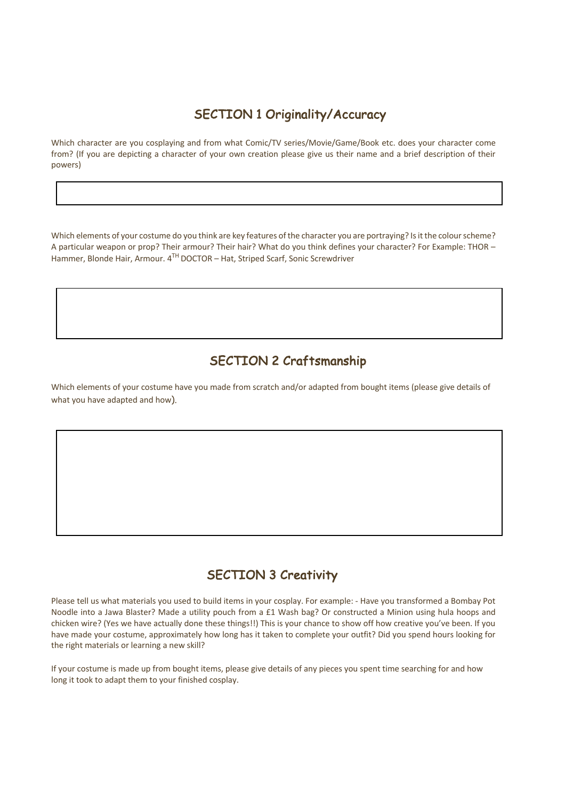## SECTION 1 Originality/Accuracy

Which character are you cosplaying and from what Comic/TV series/Movie/Game/Book etc. does your character come from? (If you are depicting a character of your own creation please give us their name and a brief description of their powers)

Which elements of your costume do you think are key features of the character you are portraying? Is it the colour scheme? A particular weapon or prop? Their armour? Their hair? What do you think defines your character? For Example: THOR – Hammer, Blonde Hair, Armour. 4TH DOCTOR – Hat, Striped Scarf, Sonic Screwdriver

# SECTION 2 Craftsmanship

Which elements of your costume have you made from scratch and/or adapted from bought items (please give details of what you have adapted and how).

### SECTION 3 Creativity

Please tell us what materials you used to build items in your cosplay. For example: - Have you transformed a Bombay Pot Noodle into a Jawa Blaster? Made a utility pouch from a £1 Wash bag? Or constructed a Minion using hula hoops and chicken wire? (Yes we have actually done these things!!) This is your chance to show off how creative you've been. If you have made your costume, approximately how long has it taken to complete your outfit? Did you spend hours looking for the right materials or learning a new skill?

If your costume is made up from bought items, please give details of any pieces you spent time searching for and how long it took to adapt them to your finished cosplay.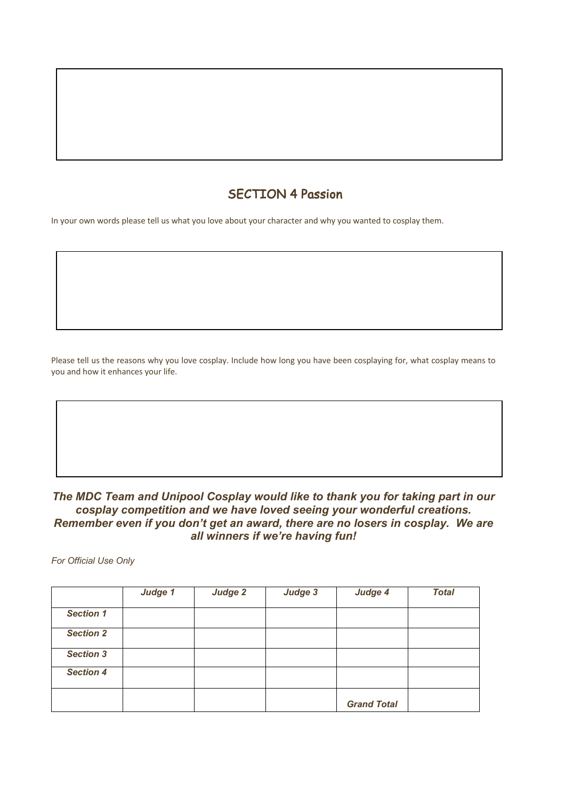# SECTION 4 Passion

In your own words please tell us what you love about your character and why you wanted to cosplay them.

Please tell us the reasons why you love cosplay. Include how long you have been cosplaying for, what cosplay means to you and how it enhances your life.

*The MDC Team and Unipool Cosplay would like to thank you for taking part in our cosplay competition and we have loved seeing your wonderful creations. Remember even if you don't get an award, there are no losers in cosplay. We are all winners if we're having fun!* 

*For Official Use Only* 

|                  | Judge 1 | Judge 2 | Judge 3 | Judge 4            | <b>Total</b> |
|------------------|---------|---------|---------|--------------------|--------------|
| <b>Section 1</b> |         |         |         |                    |              |
| <b>Section 2</b> |         |         |         |                    |              |
| <b>Section 3</b> |         |         |         |                    |              |
| <b>Section 4</b> |         |         |         |                    |              |
|                  |         |         |         | <b>Grand Total</b> |              |